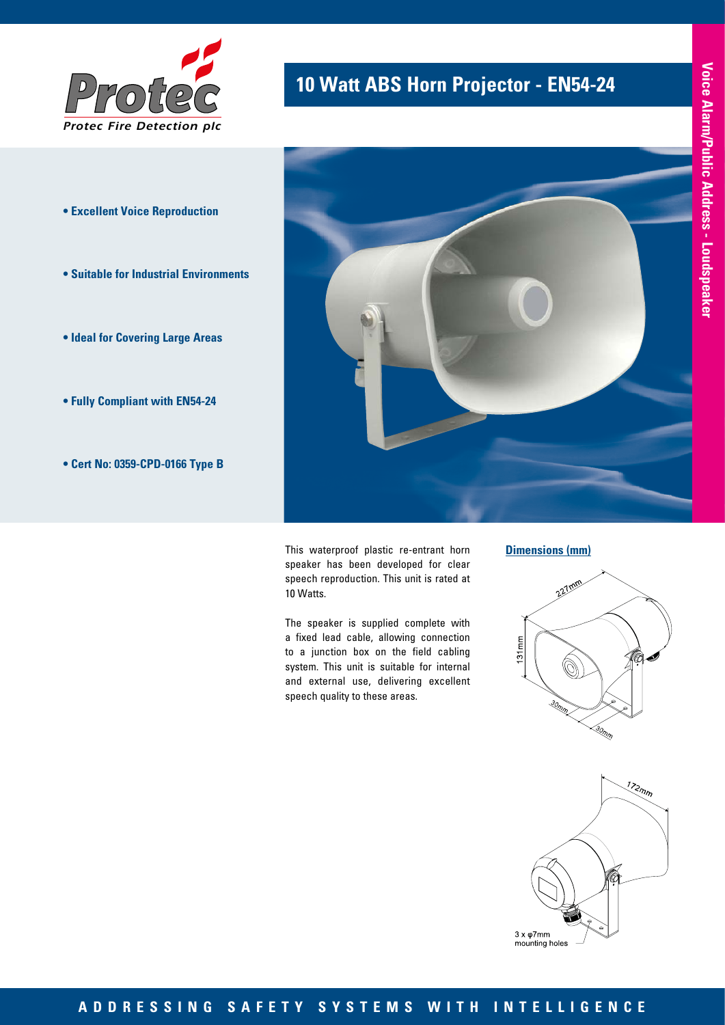

- **Excellent Voice Reproduction**
- **Suitable for Industrial Environments**
- **Ideal for Covering Large Areas**
- **Fully Compliant with EN54-24**
- **Cert No: 0359-CPD-0166 Type B**

# **10 Watt ABS Horn Projector - EN54-24**



This waterproof plastic re-entrant horn speaker has been developed for clear speech reproduction. This unit is rated at 10 Watts.

The speaker is supplied complete with a fixed lead cable, allowing connection to a junction box on the field cabling system. This unit is suitable for internal and external use, delivering excellent speech quality to these areas.

#### **Dimensions (mm)**